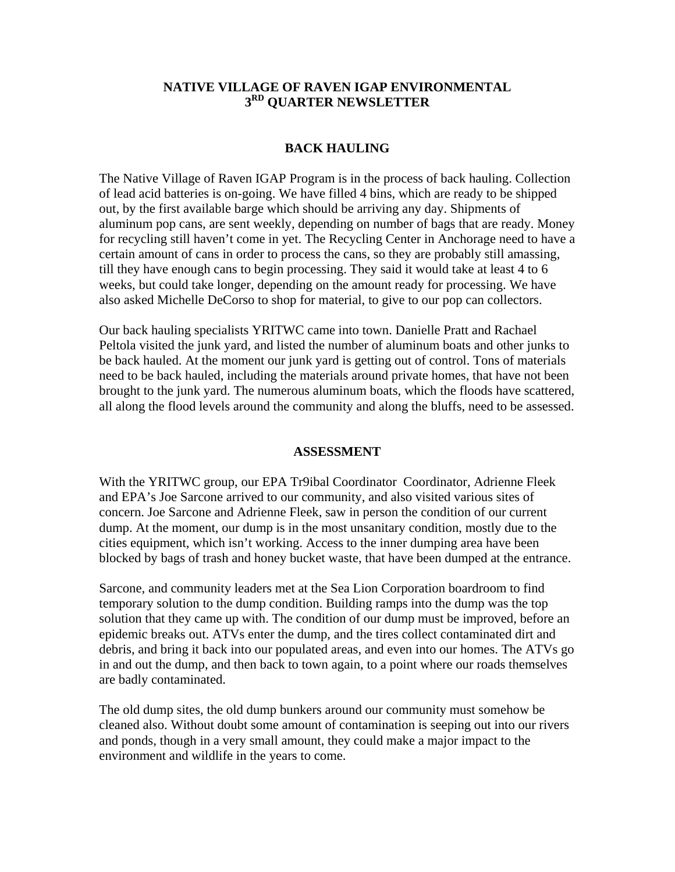## **NATIVE VILLAGE OF RAVEN IGAP ENVIRONMENTAL 3RD QUARTER NEWSLETTER**

### **BACK HAULING**

The Native Village of Raven IGAP Program is in the process of back hauling. Collection of lead acid batteries is on-going. We have filled 4 bins, which are ready to be shipped out, by the first available barge which should be arriving any day. Shipments of aluminum pop cans, are sent weekly, depending on number of bags that are ready. Money for recycling still haven't come in yet. The Recycling Center in Anchorage need to have a certain amount of cans in order to process the cans, so they are probably still amassing, till they have enough cans to begin processing. They said it would take at least 4 to 6 weeks, but could take longer, depending on the amount ready for processing. We have also asked Michelle DeCorso to shop for material, to give to our pop can collectors.

Our back hauling specialists YRITWC came into town. Danielle Pratt and Rachael Peltola visited the junk yard, and listed the number of aluminum boats and other junks to be back hauled. At the moment our junk yard is getting out of control. Tons of materials need to be back hauled, including the materials around private homes, that have not been brought to the junk yard. The numerous aluminum boats, which the floods have scattered, all along the flood levels around the community and along the bluffs, need to be assessed.

### **ASSESSMENT**

With the YRITWC group, our EPA Tr9ibal Coordinator Coordinator, Adrienne Fleek and EPA's Joe Sarcone arrived to our community, and also visited various sites of concern. Joe Sarcone and Adrienne Fleek, saw in person the condition of our current dump. At the moment, our dump is in the most unsanitary condition, mostly due to the cities equipment, which isn't working. Access to the inner dumping area have been blocked by bags of trash and honey bucket waste, that have been dumped at the entrance.

Sarcone, and community leaders met at the Sea Lion Corporation boardroom to find temporary solution to the dump condition. Building ramps into the dump was the top solution that they came up with. The condition of our dump must be improved, before an epidemic breaks out. ATVs enter the dump, and the tires collect contaminated dirt and debris, and bring it back into our populated areas, and even into our homes. The ATVs go in and out the dump, and then back to town again, to a point where our roads themselves are badly contaminated.

The old dump sites, the old dump bunkers around our community must somehow be cleaned also. Without doubt some amount of contamination is seeping out into our rivers and ponds, though in a very small amount, they could make a major impact to the environment and wildlife in the years to come.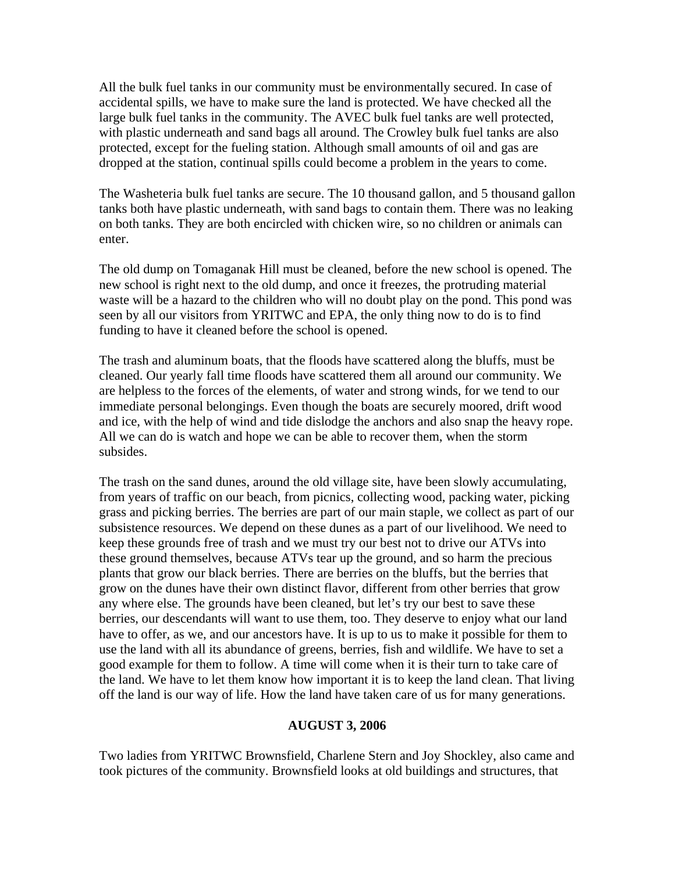All the bulk fuel tanks in our community must be environmentally secured. In case of accidental spills, we have to make sure the land is protected. We have checked all the large bulk fuel tanks in the community. The AVEC bulk fuel tanks are well protected, with plastic underneath and sand bags all around. The Crowley bulk fuel tanks are also protected, except for the fueling station. Although small amounts of oil and gas are dropped at the station, continual spills could become a problem in the years to come.

The Washeteria bulk fuel tanks are secure. The 10 thousand gallon, and 5 thousand gallon tanks both have plastic underneath, with sand bags to contain them. There was no leaking on both tanks. They are both encircled with chicken wire, so no children or animals can enter.

The old dump on Tomaganak Hill must be cleaned, before the new school is opened. The new school is right next to the old dump, and once it freezes, the protruding material waste will be a hazard to the children who will no doubt play on the pond. This pond was seen by all our visitors from YRITWC and EPA, the only thing now to do is to find funding to have it cleaned before the school is opened.

The trash and aluminum boats, that the floods have scattered along the bluffs, must be cleaned. Our yearly fall time floods have scattered them all around our community. We are helpless to the forces of the elements, of water and strong winds, for we tend to our immediate personal belongings. Even though the boats are securely moored, drift wood and ice, with the help of wind and tide dislodge the anchors and also snap the heavy rope. All we can do is watch and hope we can be able to recover them, when the storm subsides.

The trash on the sand dunes, around the old village site, have been slowly accumulating, from years of traffic on our beach, from picnics, collecting wood, packing water, picking grass and picking berries. The berries are part of our main staple, we collect as part of our subsistence resources. We depend on these dunes as a part of our livelihood. We need to keep these grounds free of trash and we must try our best not to drive our ATVs into these ground themselves, because ATVs tear up the ground, and so harm the precious plants that grow our black berries. There are berries on the bluffs, but the berries that grow on the dunes have their own distinct flavor, different from other berries that grow any where else. The grounds have been cleaned, but let's try our best to save these berries, our descendants will want to use them, too. They deserve to enjoy what our land have to offer, as we, and our ancestors have. It is up to us to make it possible for them to use the land with all its abundance of greens, berries, fish and wildlife. We have to set a good example for them to follow. A time will come when it is their turn to take care of the land. We have to let them know how important it is to keep the land clean. That living off the land is our way of life. How the land have taken care of us for many generations.

#### **AUGUST 3, 2006**

Two ladies from YRITWC Brownsfield, Charlene Stern and Joy Shockley, also came and took pictures of the community. Brownsfield looks at old buildings and structures, that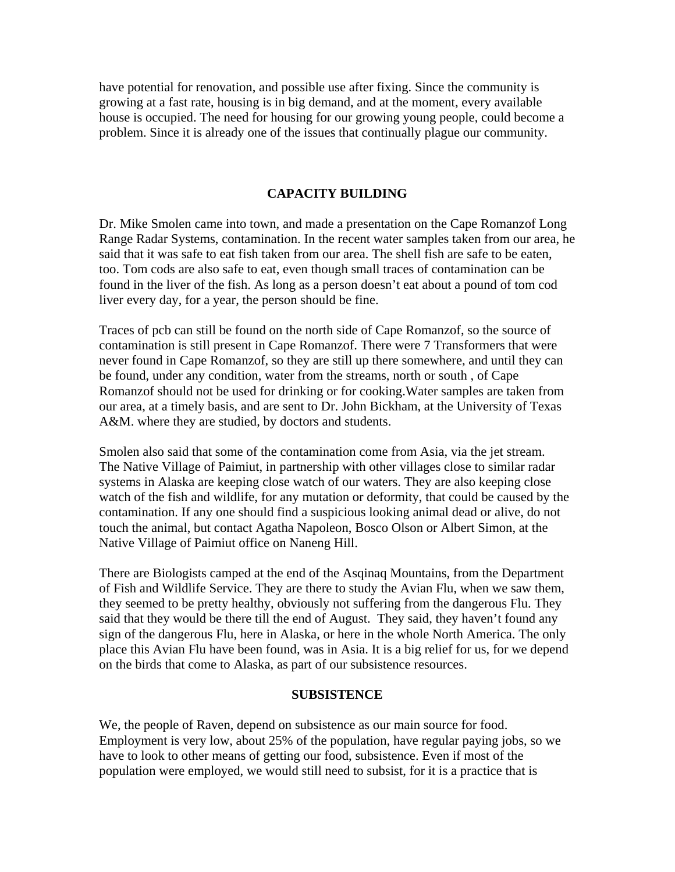have potential for renovation, and possible use after fixing. Since the community is growing at a fast rate, housing is in big demand, and at the moment, every available house is occupied. The need for housing for our growing young people, could become a problem. Since it is already one of the issues that continually plague our community.

### **CAPACITY BUILDING**

Dr. Mike Smolen came into town, and made a presentation on the Cape Romanzof Long Range Radar Systems, contamination. In the recent water samples taken from our area, he said that it was safe to eat fish taken from our area. The shell fish are safe to be eaten, too. Tom cods are also safe to eat, even though small traces of contamination can be found in the liver of the fish. As long as a person doesn't eat about a pound of tom cod liver every day, for a year, the person should be fine.

Traces of pcb can still be found on the north side of Cape Romanzof, so the source of contamination is still present in Cape Romanzof. There were 7 Transformers that were never found in Cape Romanzof, so they are still up there somewhere, and until they can be found, under any condition, water from the streams, north or south , of Cape Romanzof should not be used for drinking or for cooking.Water samples are taken from our area, at a timely basis, and are sent to Dr. John Bickham, at the University of Texas A&M. where they are studied, by doctors and students.

Smolen also said that some of the contamination come from Asia, via the jet stream. The Native Village of Paimiut, in partnership with other villages close to similar radar systems in Alaska are keeping close watch of our waters. They are also keeping close watch of the fish and wildlife, for any mutation or deformity, that could be caused by the contamination. If any one should find a suspicious looking animal dead or alive, do not touch the animal, but contact Agatha Napoleon, Bosco Olson or Albert Simon, at the Native Village of Paimiut office on Naneng Hill.

There are Biologists camped at the end of the Asqinaq Mountains, from the Department of Fish and Wildlife Service. They are there to study the Avian Flu, when we saw them, they seemed to be pretty healthy, obviously not suffering from the dangerous Flu. They said that they would be there till the end of August. They said, they haven't found any sign of the dangerous Flu, here in Alaska, or here in the whole North America. The only place this Avian Flu have been found, was in Asia. It is a big relief for us, for we depend on the birds that come to Alaska, as part of our subsistence resources.

#### **SUBSISTENCE**

We, the people of Raven, depend on subsistence as our main source for food. Employment is very low, about 25% of the population, have regular paying jobs, so we have to look to other means of getting our food, subsistence. Even if most of the population were employed, we would still need to subsist, for it is a practice that is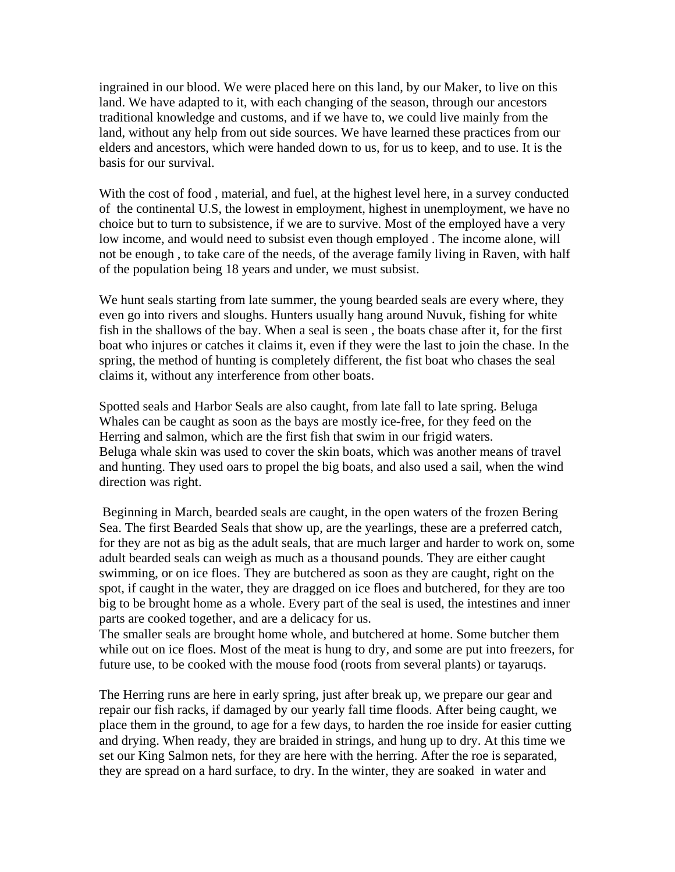ingrained in our blood. We were placed here on this land, by our Maker, to live on this land. We have adapted to it, with each changing of the season, through our ancestors traditional knowledge and customs, and if we have to, we could live mainly from the land, without any help from out side sources. We have learned these practices from our elders and ancestors, which were handed down to us, for us to keep, and to use. It is the basis for our survival.

With the cost of food , material, and fuel, at the highest level here, in a survey conducted of the continental U.S, the lowest in employment, highest in unemployment, we have no choice but to turn to subsistence, if we are to survive. Most of the employed have a very low income, and would need to subsist even though employed . The income alone, will not be enough , to take care of the needs, of the average family living in Raven, with half of the population being 18 years and under, we must subsist.

We hunt seals starting from late summer, the young bearded seals are every where, they even go into rivers and sloughs. Hunters usually hang around Nuvuk, fishing for white fish in the shallows of the bay. When a seal is seen , the boats chase after it, for the first boat who injures or catches it claims it, even if they were the last to join the chase. In the spring, the method of hunting is completely different, the fist boat who chases the seal claims it, without any interference from other boats.

Spotted seals and Harbor Seals are also caught, from late fall to late spring. Beluga Whales can be caught as soon as the bays are mostly ice-free, for they feed on the Herring and salmon, which are the first fish that swim in our frigid waters. Beluga whale skin was used to cover the skin boats, which was another means of travel and hunting. They used oars to propel the big boats, and also used a sail, when the wind direction was right.

 Beginning in March, bearded seals are caught, in the open waters of the frozen Bering Sea. The first Bearded Seals that show up, are the yearlings, these are a preferred catch, for they are not as big as the adult seals, that are much larger and harder to work on, some adult bearded seals can weigh as much as a thousand pounds. They are either caught swimming, or on ice floes. They are butchered as soon as they are caught, right on the spot, if caught in the water, they are dragged on ice floes and butchered, for they are too big to be brought home as a whole. Every part of the seal is used, the intestines and inner parts are cooked together, and are a delicacy for us.

The smaller seals are brought home whole, and butchered at home. Some butcher them while out on ice floes. Most of the meat is hung to dry, and some are put into freezers, for future use, to be cooked with the mouse food (roots from several plants) or tayaruqs.

The Herring runs are here in early spring, just after break up, we prepare our gear and repair our fish racks, if damaged by our yearly fall time floods. After being caught, we place them in the ground, to age for a few days, to harden the roe inside for easier cutting and drying. When ready, they are braided in strings, and hung up to dry. At this time we set our King Salmon nets, for they are here with the herring. After the roe is separated, they are spread on a hard surface, to dry. In the winter, they are soaked in water and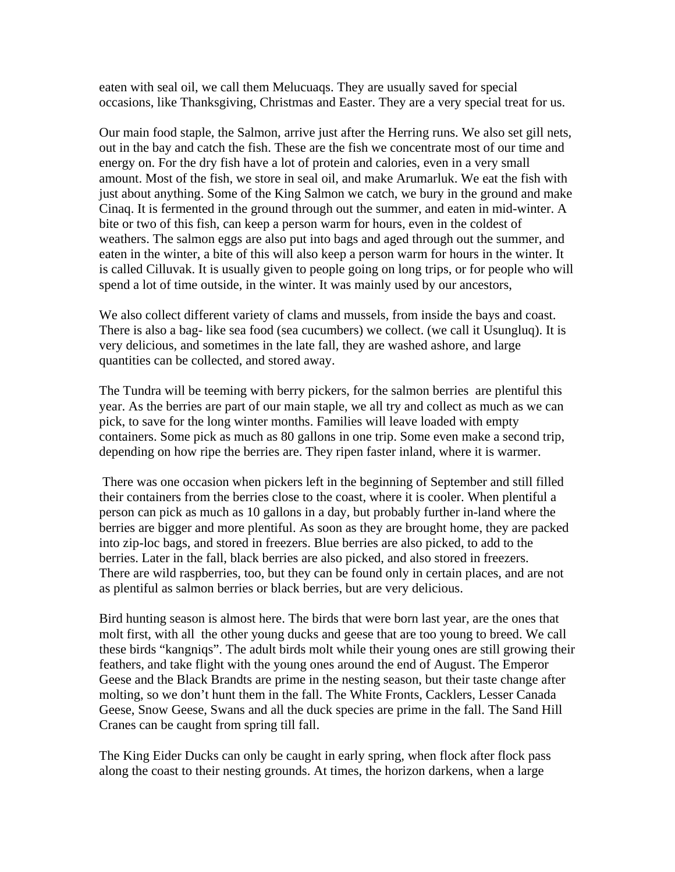eaten with seal oil, we call them Melucuaqs. They are usually saved for special occasions, like Thanksgiving, Christmas and Easter. They are a very special treat for us.

Our main food staple, the Salmon, arrive just after the Herring runs. We also set gill nets, out in the bay and catch the fish. These are the fish we concentrate most of our time and energy on. For the dry fish have a lot of protein and calories, even in a very small amount. Most of the fish, we store in seal oil, and make Arumarluk. We eat the fish with just about anything. Some of the King Salmon we catch, we bury in the ground and make Cinaq. It is fermented in the ground through out the summer, and eaten in mid-winter. A bite or two of this fish, can keep a person warm for hours, even in the coldest of weathers. The salmon eggs are also put into bags and aged through out the summer, and eaten in the winter, a bite of this will also keep a person warm for hours in the winter. It is called Cilluvak. It is usually given to people going on long trips, or for people who will spend a lot of time outside, in the winter. It was mainly used by our ancestors,

We also collect different variety of clams and mussels, from inside the bays and coast. There is also a bag- like sea food (sea cucumbers) we collect. (we call it Usungluq). It is very delicious, and sometimes in the late fall, they are washed ashore, and large quantities can be collected, and stored away.

The Tundra will be teeming with berry pickers, for the salmon berries are plentiful this year. As the berries are part of our main staple, we all try and collect as much as we can pick, to save for the long winter months. Families will leave loaded with empty containers. Some pick as much as 80 gallons in one trip. Some even make a second trip, depending on how ripe the berries are. They ripen faster inland, where it is warmer.

 There was one occasion when pickers left in the beginning of September and still filled their containers from the berries close to the coast, where it is cooler. When plentiful a person can pick as much as 10 gallons in a day, but probably further in-land where the berries are bigger and more plentiful. As soon as they are brought home, they are packed into zip-loc bags, and stored in freezers. Blue berries are also picked, to add to the berries. Later in the fall, black berries are also picked, and also stored in freezers. There are wild raspberries, too, but they can be found only in certain places, and are not as plentiful as salmon berries or black berries, but are very delicious.

Bird hunting season is almost here. The birds that were born last year, are the ones that molt first, with all the other young ducks and geese that are too young to breed. We call these birds "kangniqs". The adult birds molt while their young ones are still growing their feathers, and take flight with the young ones around the end of August. The Emperor Geese and the Black Brandts are prime in the nesting season, but their taste change after molting, so we don't hunt them in the fall. The White Fronts, Cacklers, Lesser Canada Geese, Snow Geese, Swans and all the duck species are prime in the fall. The Sand Hill Cranes can be caught from spring till fall.

The King Eider Ducks can only be caught in early spring, when flock after flock pass along the coast to their nesting grounds. At times, the horizon darkens, when a large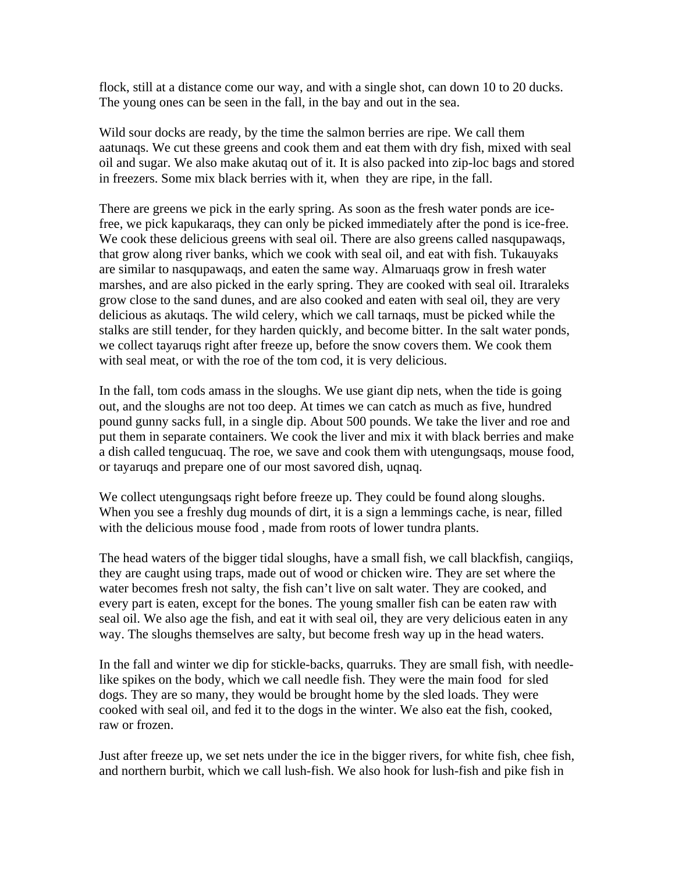flock, still at a distance come our way, and with a single shot, can down 10 to 20 ducks. The young ones can be seen in the fall, in the bay and out in the sea.

Wild sour docks are ready, by the time the salmon berries are ripe. We call them aatunaqs. We cut these greens and cook them and eat them with dry fish, mixed with seal oil and sugar. We also make akutaq out of it. It is also packed into zip-loc bags and stored in freezers. Some mix black berries with it, when they are ripe, in the fall.

There are greens we pick in the early spring. As soon as the fresh water ponds are icefree, we pick kapukaraqs, they can only be picked immediately after the pond is ice-free. We cook these delicious greens with seal oil. There are also greens called nasqupawaqs, that grow along river banks, which we cook with seal oil, and eat with fish. Tukauyaks are similar to nasqupawaqs, and eaten the same way. Almaruaqs grow in fresh water marshes, and are also picked in the early spring. They are cooked with seal oil. Itraraleks grow close to the sand dunes, and are also cooked and eaten with seal oil, they are very delicious as akutaqs. The wild celery, which we call tarnaqs, must be picked while the stalks are still tender, for they harden quickly, and become bitter. In the salt water ponds, we collect tayaruqs right after freeze up, before the snow covers them. We cook them with seal meat, or with the roe of the tom cod, it is very delicious.

In the fall, tom cods amass in the sloughs. We use giant dip nets, when the tide is going out, and the sloughs are not too deep. At times we can catch as much as five, hundred pound gunny sacks full, in a single dip. About 500 pounds. We take the liver and roe and put them in separate containers. We cook the liver and mix it with black berries and make a dish called tengucuaq. The roe, we save and cook them with utengungsaqs, mouse food, or tayaruqs and prepare one of our most savored dish, uqnaq.

We collect utengungsaqs right before freeze up. They could be found along sloughs. When you see a freshly dug mounds of dirt, it is a sign a lemmings cache, is near, filled with the delicious mouse food , made from roots of lower tundra plants.

The head waters of the bigger tidal sloughs, have a small fish, we call blackfish, cangiiqs, they are caught using traps, made out of wood or chicken wire. They are set where the water becomes fresh not salty, the fish can't live on salt water. They are cooked, and every part is eaten, except for the bones. The young smaller fish can be eaten raw with seal oil. We also age the fish, and eat it with seal oil, they are very delicious eaten in any way. The sloughs themselves are salty, but become fresh way up in the head waters.

In the fall and winter we dip for stickle-backs, quarruks. They are small fish, with needlelike spikes on the body, which we call needle fish. They were the main food for sled dogs. They are so many, they would be brought home by the sled loads. They were cooked with seal oil, and fed it to the dogs in the winter. We also eat the fish, cooked, raw or frozen.

Just after freeze up, we set nets under the ice in the bigger rivers, for white fish, chee fish, and northern burbit, which we call lush-fish. We also hook for lush-fish and pike fish in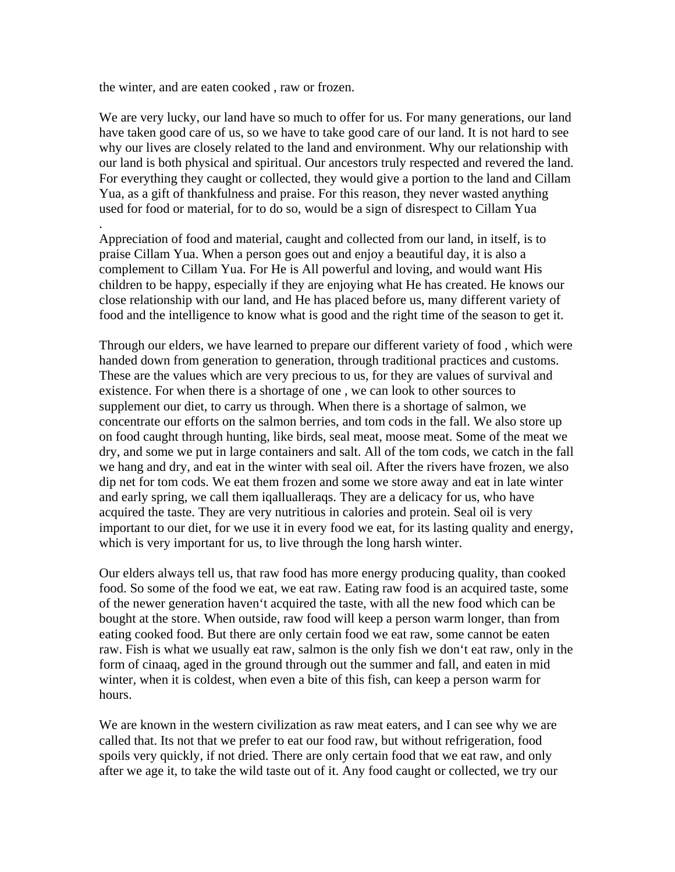the winter, and are eaten cooked , raw or frozen.

.

We are very lucky, our land have so much to offer for us. For many generations, our land have taken good care of us, so we have to take good care of our land. It is not hard to see why our lives are closely related to the land and environment. Why our relationship with our land is both physical and spiritual. Our ancestors truly respected and revered the land. For everything they caught or collected, they would give a portion to the land and Cillam Yua, as a gift of thankfulness and praise. For this reason, they never wasted anything used for food or material, for to do so, would be a sign of disrespect to Cillam Yua

Appreciation of food and material, caught and collected from our land, in itself, is to praise Cillam Yua. When a person goes out and enjoy a beautiful day, it is also a complement to Cillam Yua. For He is All powerful and loving, and would want His children to be happy, especially if they are enjoying what He has created. He knows our close relationship with our land, and He has placed before us, many different variety of food and the intelligence to know what is good and the right time of the season to get it.

Through our elders, we have learned to prepare our different variety of food , which were handed down from generation to generation, through traditional practices and customs. These are the values which are very precious to us, for they are values of survival and existence. For when there is a shortage of one , we can look to other sources to supplement our diet, to carry us through. When there is a shortage of salmon, we concentrate our efforts on the salmon berries, and tom cods in the fall. We also store up on food caught through hunting, like birds, seal meat, moose meat. Some of the meat we dry, and some we put in large containers and salt. All of the tom cods, we catch in the fall we hang and dry, and eat in the winter with seal oil. After the rivers have frozen, we also dip net for tom cods. We eat them frozen and some we store away and eat in late winter and early spring, we call them iqallualleraqs. They are a delicacy for us, who have acquired the taste. They are very nutritious in calories and protein. Seal oil is very important to our diet, for we use it in every food we eat, for its lasting quality and energy, which is very important for us, to live through the long harsh winter.

Our elders always tell us, that raw food has more energy producing quality, than cooked food. So some of the food we eat, we eat raw. Eating raw food is an acquired taste, some of the newer generation haven't acquired the taste, with all the new food which can be bought at the store. When outside, raw food will keep a person warm longer, than from eating cooked food. But there are only certain food we eat raw, some cannot be eaten raw. Fish is what we usually eat raw, salmon is the only fish we don't eat raw, only in the form of cinaaq, aged in the ground through out the summer and fall, and eaten in mid winter, when it is coldest, when even a bite of this fish, can keep a person warm for hours.

We are known in the western civilization as raw meat eaters, and I can see why we are called that. Its not that we prefer to eat our food raw, but without refrigeration, food spoils very quickly, if not dried. There are only certain food that we eat raw, and only after we age it, to take the wild taste out of it. Any food caught or collected, we try our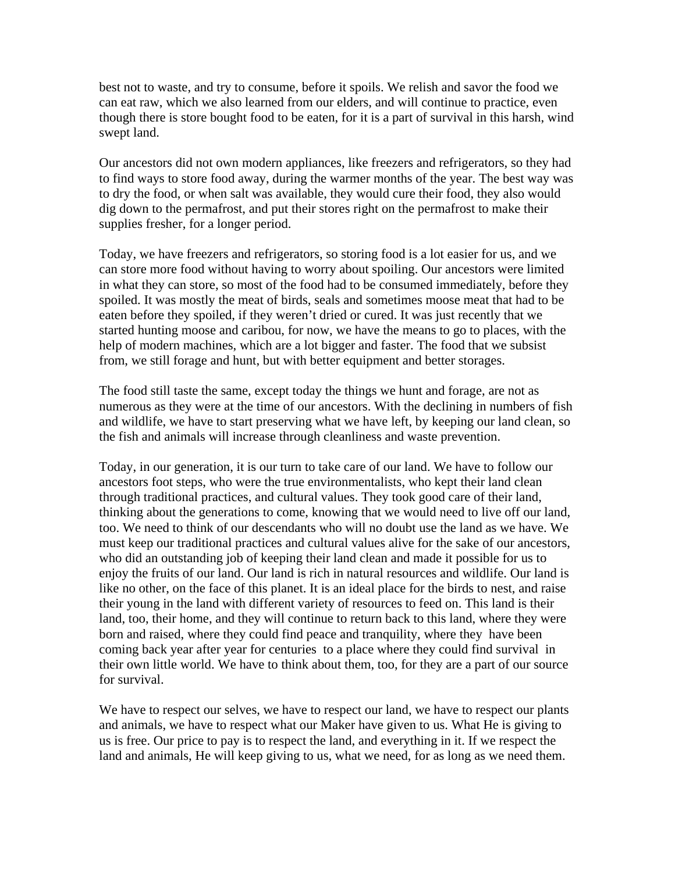best not to waste, and try to consume, before it spoils. We relish and savor the food we can eat raw, which we also learned from our elders, and will continue to practice, even though there is store bought food to be eaten, for it is a part of survival in this harsh, wind swept land.

Our ancestors did not own modern appliances, like freezers and refrigerators, so they had to find ways to store food away, during the warmer months of the year. The best way was to dry the food, or when salt was available, they would cure their food, they also would dig down to the permafrost, and put their stores right on the permafrost to make their supplies fresher, for a longer period.

Today, we have freezers and refrigerators, so storing food is a lot easier for us, and we can store more food without having to worry about spoiling. Our ancestors were limited in what they can store, so most of the food had to be consumed immediately, before they spoiled. It was mostly the meat of birds, seals and sometimes moose meat that had to be eaten before they spoiled, if they weren't dried or cured. It was just recently that we started hunting moose and caribou, for now, we have the means to go to places, with the help of modern machines, which are a lot bigger and faster. The food that we subsist from, we still forage and hunt, but with better equipment and better storages.

The food still taste the same, except today the things we hunt and forage, are not as numerous as they were at the time of our ancestors. With the declining in numbers of fish and wildlife, we have to start preserving what we have left, by keeping our land clean, so the fish and animals will increase through cleanliness and waste prevention.

Today, in our generation, it is our turn to take care of our land. We have to follow our ancestors foot steps, who were the true environmentalists, who kept their land clean through traditional practices, and cultural values. They took good care of their land, thinking about the generations to come, knowing that we would need to live off our land, too. We need to think of our descendants who will no doubt use the land as we have. We must keep our traditional practices and cultural values alive for the sake of our ancestors, who did an outstanding job of keeping their land clean and made it possible for us to enjoy the fruits of our land. Our land is rich in natural resources and wildlife. Our land is like no other, on the face of this planet. It is an ideal place for the birds to nest, and raise their young in the land with different variety of resources to feed on. This land is their land, too, their home, and they will continue to return back to this land, where they were born and raised, where they could find peace and tranquility, where they have been coming back year after year for centuries to a place where they could find survival in their own little world. We have to think about them, too, for they are a part of our source for survival.

We have to respect our selves, we have to respect our land, we have to respect our plants and animals, we have to respect what our Maker have given to us. What He is giving to us is free. Our price to pay is to respect the land, and everything in it. If we respect the land and animals, He will keep giving to us, what we need, for as long as we need them.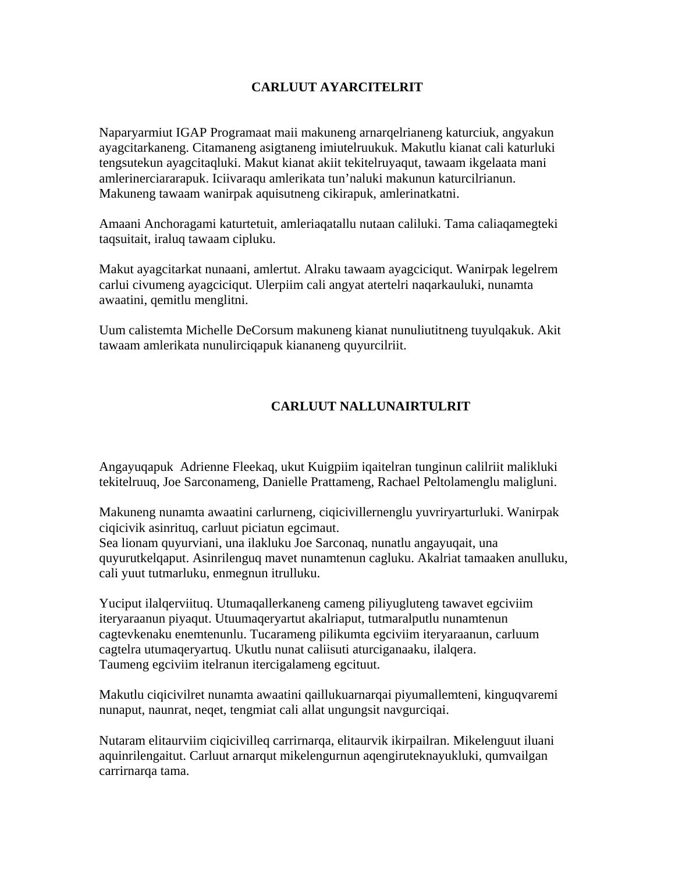## **CARLUUT AYARCITELRIT**

Naparyarmiut IGAP Programaat maii makuneng arnarqelrianeng katurciuk, angyakun ayagcitarkaneng. Citamaneng asigtaneng imiutelruukuk. Makutlu kianat cali katurluki tengsutekun ayagcitaqluki. Makut kianat akiit tekitelruyaqut, tawaam ikgelaata mani amlerinerciararapuk. Iciivaraqu amlerikata tun'naluki makunun katurcilrianun. Makuneng tawaam wanirpak aquisutneng cikirapuk, amlerinatkatni.

Amaani Anchoragami katurtetuit, amleriaqatallu nutaan caliluki. Tama caliaqamegteki taqsuitait, iraluq tawaam cipluku.

Makut ayagcitarkat nunaani, amlertut. Alraku tawaam ayagciciqut. Wanirpak legelrem carlui civumeng ayagciciqut. Ulerpiim cali angyat atertelri naqarkauluki, nunamta awaatini, qemitlu menglitni.

Uum calistemta Michelle DeCorsum makuneng kianat nunuliutitneng tuyulqakuk. Akit tawaam amlerikata nunulirciqapuk kiananeng quyurcilriit.

# **CARLUUT NALLUNAIRTULRIT**

Angayuqapuk Adrienne Fleekaq, ukut Kuigpiim iqaitelran tunginun calilriit malikluki tekitelruuq, Joe Sarconameng, Danielle Prattameng, Rachael Peltolamenglu maligluni.

Makuneng nunamta awaatini carlurneng, ciqicivillernenglu yuvriryarturluki. Wanirpak ciqicivik asinrituq, carluut piciatun egcimaut.

Sea lionam quyurviani, una ilakluku Joe Sarconaq, nunatlu angayuqait, una quyurutkelqaput. Asinrilenguq mavet nunamtenun cagluku. Akalriat tamaaken anulluku, cali yuut tutmarluku, enmegnun itrulluku.

Yuciput ilalqerviituq. Utumaqallerkaneng cameng piliyugluteng tawavet egciviim iteryaraanun piyaqut. Utuumaqeryartut akalriaput, tutmaralputlu nunamtenun cagtevkenaku enemtenunlu. Tucarameng pilikumta egciviim iteryaraanun, carluum cagtelra utumaqeryartuq. Ukutlu nunat caliisuti aturciganaaku, ilalqera. Taumeng egciviim itelranun itercigalameng egcituut.

Makutlu ciqicivilret nunamta awaatini qaillukuarnarqai piyumallemteni, kinguqvaremi nunaput, naunrat, neqet, tengmiat cali allat ungungsit navgurciqai.

Nutaram elitaurviim ciqicivilleq carrirnarqa, elitaurvik ikirpailran. Mikelenguut iluani aquinrilengaitut. Carluut arnarqut mikelengurnun aqengiruteknayukluki, qumvailgan carrirnarqa tama.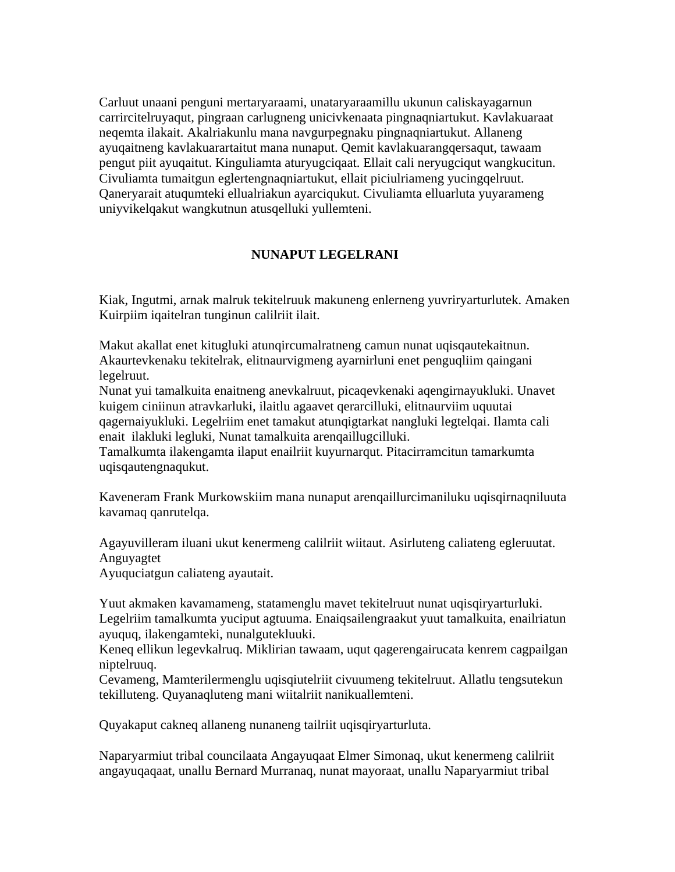Carluut unaani penguni mertaryaraami, unataryaraamillu ukunun caliskayagarnun carrircitelruyaqut, pingraan carlugneng unicivkenaata pingnaqniartukut. Kavlakuaraat neqemta ilakait. Akalriakunlu mana navgurpegnaku pingnaqniartukut. Allaneng ayuqaitneng kavlakuarartaitut mana nunaput. Qemit kavlakuarangqersaqut, tawaam pengut piit ayuqaitut. Kinguliamta aturyugciqaat. Ellait cali neryugciqut wangkucitun. Civuliamta tumaitgun eglertengnaqniartukut, ellait piciulriameng yucingqelruut. Qaneryarait atuqumteki ellualriakun ayarciqukut. Civuliamta elluarluta yuyarameng uniyvikelqakut wangkutnun atusqelluki yullemteni.

# **NUNAPUT LEGELRANI**

Kiak, Ingutmi, arnak malruk tekitelruuk makuneng enlerneng yuvriryarturlutek. Amaken Kuirpiim iqaitelran tunginun calilriit ilait.

Makut akallat enet kitugluki atunqircumalratneng camun nunat uqisqautekaitnun. Akaurtevkenaku tekitelrak, elitnaurvigmeng ayarnirluni enet penguqliim qaingani legelruut.

Nunat yui tamalkuita enaitneng anevkalruut, picaqevkenaki aqengirnayukluki. Unavet kuigem ciniinun atravkarluki, ilaitlu agaavet qerarcilluki, elitnaurviim uquutai qagernaiyukluki. Legelriim enet tamakut atunqigtarkat nangluki legtelqai. Ilamta cali enait ilakluki legluki, Nunat tamalkuita arenqaillugcilluki.

Tamalkumta ilakengamta ilaput enailriit kuyurnarqut. Pitacirramcitun tamarkumta uqisqautengnaqukut.

Kaveneram Frank Murkowskiim mana nunaput arenqaillurcimaniluku uqisqirnaqniluuta kavamaq qanrutelqa.

Agayuvilleram iluani ukut kenermeng calilriit wiitaut. Asirluteng caliateng egleruutat. Anguyagtet

Ayuquciatgun caliateng ayautait.

Yuut akmaken kavamameng, statamenglu mavet tekitelruut nunat uqisqiryarturluki. Legelriim tamalkumta yuciput agtuuma. Enaiqsailengraakut yuut tamalkuita, enailriatun ayuquq, ilakengamteki, nunalgutekluuki.

Keneq ellikun legevkalruq. Miklirian tawaam, uqut qagerengairucata kenrem cagpailgan niptelruuq.

Cevameng, Mamterilermenglu uqisqiutelriit civuumeng tekitelruut. Allatlu tengsutekun tekilluteng. Quyanaqluteng mani wiitalriit nanikuallemteni.

Quyakaput cakneq allaneng nunaneng tailriit uqisqiryarturluta.

Naparyarmiut tribal councilaata Angayuqaat Elmer Simonaq, ukut kenermeng calilriit angayuqaqaat, unallu Bernard Murranaq, nunat mayoraat, unallu Naparyarmiut tribal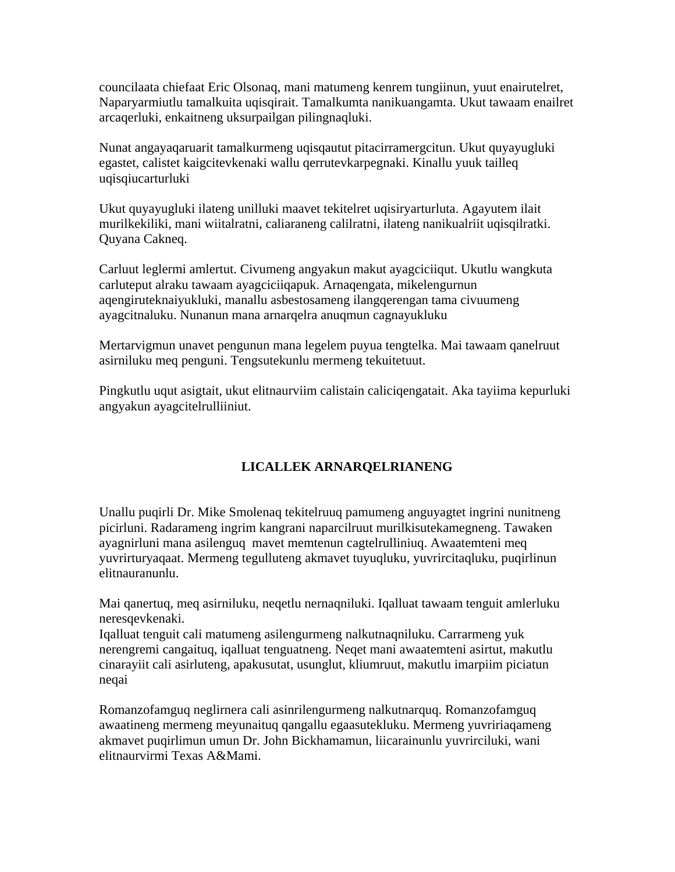councilaata chiefaat Eric Olsonaq, mani matumeng kenrem tungiinun, yuut enairutelret, Naparyarmiutlu tamalkuita uqisqirait. Tamalkumta nanikuangamta. Ukut tawaam enailret arcaqerluki, enkaitneng uksurpailgan pilingnaqluki.

Nunat angayaqaruarit tamalkurmeng uqisqautut pitacirramergcitun. Ukut quyayugluki egastet, calistet kaigcitevkenaki wallu qerrutevkarpegnaki. Kinallu yuuk tailleq uqisqiucarturluki

Ukut quyayugluki ilateng unilluki maavet tekitelret uqisiryarturluta. Agayutem ilait murilkekiliki, mani wiitalratni, caliaraneng calilratni, ilateng nanikualriit uqisqilratki. Quyana Cakneq.

Carluut leglermi amlertut. Civumeng angyakun makut ayagciciiqut. Ukutlu wangkuta carluteput alraku tawaam ayagciciiqapuk. Arnaqengata, mikelengurnun aqengiruteknaiyukluki, manallu asbestosameng ilangqerengan tama civuumeng ayagcitnaluku. Nunanun mana arnarqelra anuqmun cagnayukluku

Mertarvigmun unavet pengunun mana legelem puyua tengtelka. Mai tawaam qanelruut asirniluku meq penguni. Tengsutekunlu mermeng tekuitetuut.

Pingkutlu uqut asigtait, ukut elitnaurviim calistain caliciqengatait. Aka tayiima kepurluki angyakun ayagcitelrulliiniut.

# **LICALLEK ARNARQELRIANENG**

Unallu puqirli Dr. Mike Smolenaq tekitelruuq pamumeng anguyagtet ingrini nunitneng picirluni. Radarameng ingrim kangrani naparcilruut murilkisutekamegneng. Tawaken ayagnirluni mana asilenguq mavet memtenun cagtelrulliniuq. Awaatemteni meq yuvrirturyaqaat. Mermeng tegulluteng akmavet tuyuqluku, yuvrircitaqluku, puqirlinun elitnauranunlu.

Mai qanertuq, meq asirniluku, neqetlu nernaqniluki. Iqalluat tawaam tenguit amlerluku neresqevkenaki.

Iqalluat tenguit cali matumeng asilengurmeng nalkutnaqniluku. Carrarmeng yuk nerengremi cangaituq, iqalluat tenguatneng. Neqet mani awaatemteni asirtut, makutlu cinarayiit cali asirluteng, apakusutat, usunglut, kliumruut, makutlu imarpiim piciatun neqai

Romanzofamguq neglirnera cali asinrilengurmeng nalkutnarquq. Romanzofamguq awaatineng mermeng meyunaituq qangallu egaasutekluku. Mermeng yuvririaqameng akmavet puqirlimun umun Dr. John Bickhamamun, liicarainunlu yuvrirciluki, wani elitnaurvirmi Texas A&Mami.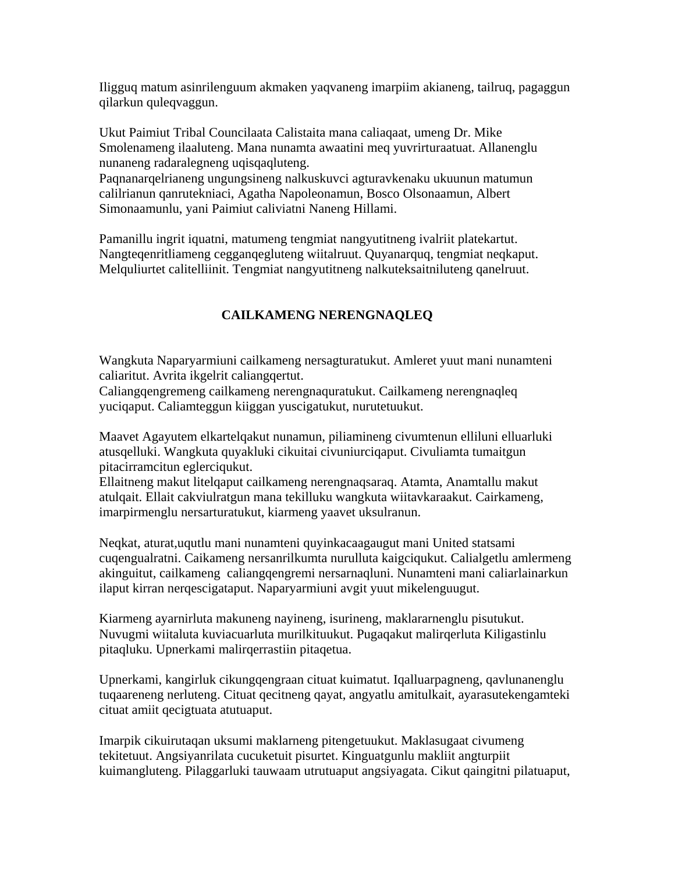Iligguq matum asinrilenguum akmaken yaqvaneng imarpiim akianeng, tailruq, pagaggun qilarkun quleqvaggun.

Ukut Paimiut Tribal Councilaata Calistaita mana caliaqaat, umeng Dr. Mike Smolenameng ilaaluteng. Mana nunamta awaatini meq yuvrirturaatuat. Allanenglu nunaneng radaralegneng uqisqaqluteng.

Paqnanarqelrianeng ungungsineng nalkuskuvci agturavkenaku ukuunun matumun calilrianun qanrutekniaci, Agatha Napoleonamun, Bosco Olsonaamun, Albert Simonaamunlu, yani Paimiut caliviatni Naneng Hillami.

Pamanillu ingrit iquatni, matumeng tengmiat nangyutitneng ivalriit platekartut. Nangteqenritliameng cegganqegluteng wiitalruut. Quyanarquq, tengmiat neqkaput. Melquliurtet calitelliinit. Tengmiat nangyutitneng nalkuteksaitniluteng qanelruut.

# **CAILKAMENG NERENGNAQLEQ**

Wangkuta Naparyarmiuni cailkameng nersagturatukut. Amleret yuut mani nunamteni caliaritut. Avrita ikgelrit caliangqertut.

Caliangqengremeng cailkameng nerengnaquratukut. Cailkameng nerengnaqleq yuciqaput. Caliamteggun kiiggan yuscigatukut, nurutetuukut.

Maavet Agayutem elkartelqakut nunamun, piliamineng civumtenun elliluni elluarluki atusqelluki. Wangkuta quyakluki cikuitai civuniurciqaput. Civuliamta tumaitgun pitacirramcitun eglerciqukut.

Ellaitneng makut litelqaput cailkameng nerengnaqsaraq. Atamta, Anamtallu makut atulqait. Ellait cakviulratgun mana tekilluku wangkuta wiitavkaraakut. Cairkameng, imarpirmenglu nersarturatukut, kiarmeng yaavet uksulranun.

Neqkat, aturat,uqutlu mani nunamteni quyinkacaagaugut mani United statsami cuqengualratni. Caikameng nersanrilkumta nurulluta kaigciqukut. Calialgetlu amlermeng akinguitut, cailkameng caliangqengremi nersarnaqluni. Nunamteni mani caliarlainarkun ilaput kirran nerqescigataput. Naparyarmiuni avgit yuut mikelenguugut.

Kiarmeng ayarnirluta makuneng nayineng, isurineng, maklararnenglu pisutukut. Nuvugmi wiitaluta kuviacuarluta murilkituukut. Pugaqakut malirqerluta Kiligastinlu pitaqluku. Upnerkami malirqerrastiin pitaqetua.

Upnerkami, kangirluk cikungqengraan cituat kuimatut. Iqalluarpagneng, qavlunanenglu tuqaareneng nerluteng. Cituat qecitneng qayat, angyatlu amitulkait, ayarasutekengamteki cituat amiit qecigtuata atutuaput.

Imarpik cikuirutaqan uksumi maklarneng pitengetuukut. Maklasugaat civumeng tekitetuut. Angsiyanrilata cucuketuit pisurtet. Kinguatgunlu makliit angturpiit kuimangluteng. Pilaggarluki tauwaam utrutuaput angsiyagata. Cikut qaingitni pilatuaput,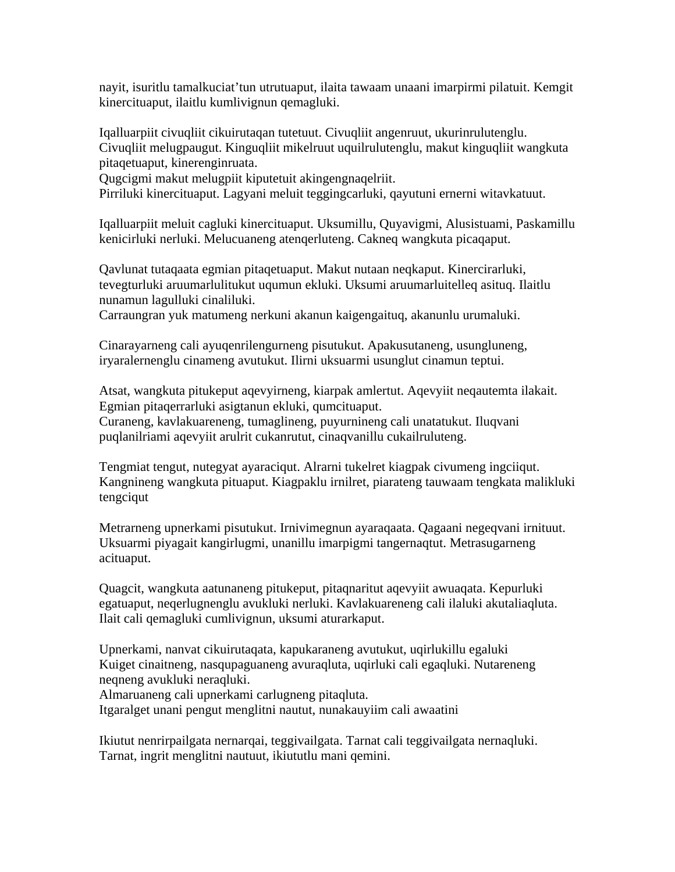nayit, isuritlu tamalkuciat'tun utrutuaput, ilaita tawaam unaani imarpirmi pilatuit. Kemgit kinercituaput, ilaitlu kumlivignun qemagluki.

Iqalluarpiit civuqliit cikuirutaqan tutetuut. Civuqliit angenruut, ukurinrulutenglu. Civuqliit melugpaugut. Kinguqliit mikelruut uquilrulutenglu, makut kinguqliit wangkuta pitaqetuaput, kinerenginruata.

Qugcigmi makut melugpiit kiputetuit akingengnaqelriit.

Pirriluki kinercituaput. Lagyani meluit teggingcarluki, qayutuni ernerni witavkatuut.

Iqalluarpiit meluit cagluki kinercituaput. Uksumillu, Quyavigmi, Alusistuami, Paskamillu kenicirluki nerluki. Melucuaneng atenqerluteng. Cakneq wangkuta picaqaput.

Qavlunat tutaqaata egmian pitaqetuaput. Makut nutaan neqkaput. Kinercirarluki, tevegturluki aruumarlulitukut uqumun ekluki. Uksumi aruumarluitelleq asituq. Ilaitlu nunamun lagulluki cinaliluki.

Carraungran yuk matumeng nerkuni akanun kaigengaituq, akanunlu urumaluki.

Cinarayarneng cali ayuqenrilengurneng pisutukut. Apakusutaneng, usungluneng, iryaralernenglu cinameng avutukut. Ilirni uksuarmi usunglut cinamun teptui.

Atsat, wangkuta pitukeput aqevyirneng, kiarpak amlertut. Aqevyiit neqautemta ilakait. Egmian pitaqerrarluki asigtanun ekluki, qumcituaput.

Curaneng, kavlakuareneng, tumaglineng, puyurnineng cali unatatukut. Iluqvani puqlanilriami aqevyiit arulrit cukanrutut, cinaqvanillu cukailruluteng.

Tengmiat tengut, nutegyat ayaraciqut. Alrarni tukelret kiagpak civumeng ingciiqut. Kangnineng wangkuta pituaput. Kiagpaklu irnilret, piarateng tauwaam tengkata malikluki tengciqut

Metrarneng upnerkami pisutukut. Irnivimegnun ayaraqaata. Qagaani negeqvani irnituut. Uksuarmi piyagait kangirlugmi, unanillu imarpigmi tangernaqtut. Metrasugarneng acituaput.

Quagcit, wangkuta aatunaneng pitukeput, pitaqnaritut aqevyiit awuaqata. Kepurluki egatuaput, neqerlugnenglu avukluki nerluki. Kavlakuareneng cali ilaluki akutaliaqluta. Ilait cali qemagluki cumlivignun, uksumi aturarkaput.

Upnerkami, nanvat cikuirutaqata, kapukaraneng avutukut, uqirlukillu egaluki Kuiget cinaitneng, nasqupaguaneng avuraqluta, uqirluki cali egaqluki. Nutareneng neqneng avukluki neraqluki.

Almaruaneng cali upnerkami carlugneng pitaqluta.

Itgaralget unani pengut menglitni nautut, nunakauyiim cali awaatini

Ikiutut nenrirpailgata nernarqai, teggivailgata. Tarnat cali teggivailgata nernaqluki. Tarnat, ingrit menglitni nautuut, ikiututlu mani qemini.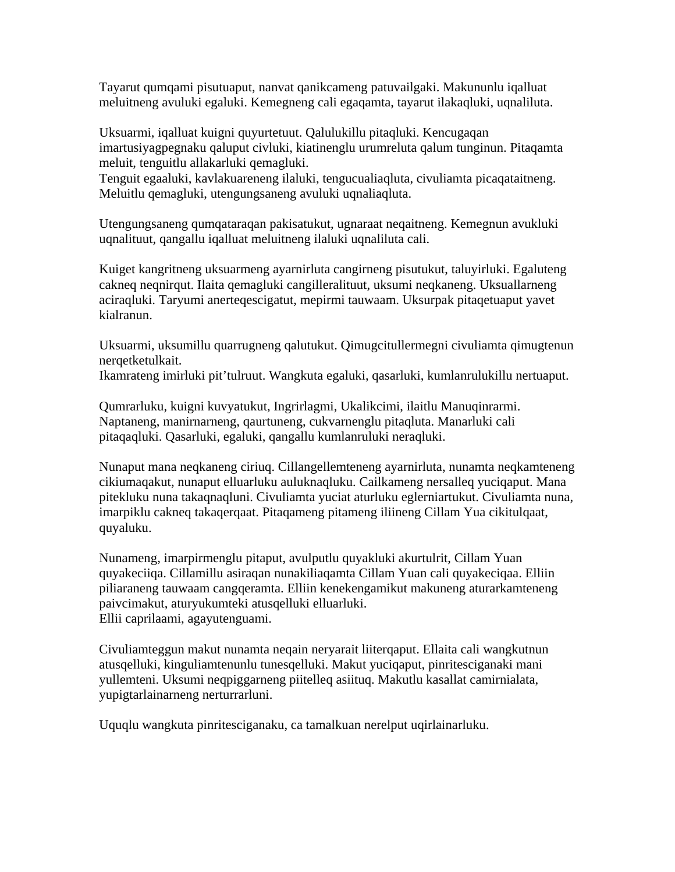Tayarut qumqami pisutuaput, nanvat qanikcameng patuvailgaki. Makununlu iqalluat meluitneng avuluki egaluki. Kemegneng cali egaqamta, tayarut ilakaqluki, uqnaliluta.

Uksuarmi, iqalluat kuigni quyurtetuut. Qalulukillu pitaqluki. Kencugaqan imartusiyagpegnaku qaluput civluki, kiatinenglu urumreluta qalum tunginun. Pitaqamta meluit, tenguitlu allakarluki qemagluki.

Tenguit egaaluki, kavlakuareneng ilaluki, tengucualiaqluta, civuliamta picaqataitneng. Meluitlu qemagluki, utengungsaneng avuluki uqnaliaqluta.

Utengungsaneng qumqataraqan pakisatukut, ugnaraat neqaitneng. Kemegnun avukluki uqnalituut, qangallu iqalluat meluitneng ilaluki uqnaliluta cali.

Kuiget kangritneng uksuarmeng ayarnirluta cangirneng pisutukut, taluyirluki. Egaluteng cakneq neqnirqut. Ilaita qemagluki cangilleralituut, uksumi neqkaneng. Uksuallarneng aciraqluki. Taryumi anerteqescigatut, mepirmi tauwaam. Uksurpak pitaqetuaput yavet kialranun.

Uksuarmi, uksumillu quarrugneng qalutukut. Qimugcitullermegni civuliamta qimugtenun nerqetketulkait.

Ikamrateng imirluki pit'tulruut. Wangkuta egaluki, qasarluki, kumlanrulukillu nertuaput.

Qumrarluku, kuigni kuvyatukut, Ingrirlagmi, Ukalikcimi, ilaitlu Manuqinrarmi. Naptaneng, manirnarneng, qaurtuneng, cukvarnenglu pitaqluta. Manarluki cali pitaqaqluki. Qasarluki, egaluki, qangallu kumlanruluki neraqluki.

Nunaput mana neqkaneng ciriuq. Cillangellemteneng ayarnirluta, nunamta neqkamteneng cikiumaqakut, nunaput elluarluku auluknaqluku. Cailkameng nersalleq yuciqaput. Mana pitekluku nuna takaqnaqluni. Civuliamta yuciat aturluku eglerniartukut. Civuliamta nuna, imarpiklu cakneq takaqerqaat. Pitaqameng pitameng iliineng Cillam Yua cikitulqaat, quyaluku.

Nunameng, imarpirmenglu pitaput, avulputlu quyakluki akurtulrit, Cillam Yuan quyakeciiqa. Cillamillu asiraqan nunakiliaqamta Cillam Yuan cali quyakeciqaa. Elliin piliaraneng tauwaam cangqeramta. Elliin kenekengamikut makuneng aturarkamteneng paivcimakut, aturyukumteki atusqelluki elluarluki. Ellii caprilaami, agayutenguami.

Civuliamteggun makut nunamta neqain neryarait liiterqaput. Ellaita cali wangkutnun atusqelluki, kinguliamtenunlu tunesqelluki. Makut yuciqaput, pinritesciganaki mani yullemteni. Uksumi neqpiggarneng piitelleq asiituq. Makutlu kasallat camirnialata, yupigtarlainarneng nerturrarluni.

Uquqlu wangkuta pinritesciganaku, ca tamalkuan nerelput uqirlainarluku.